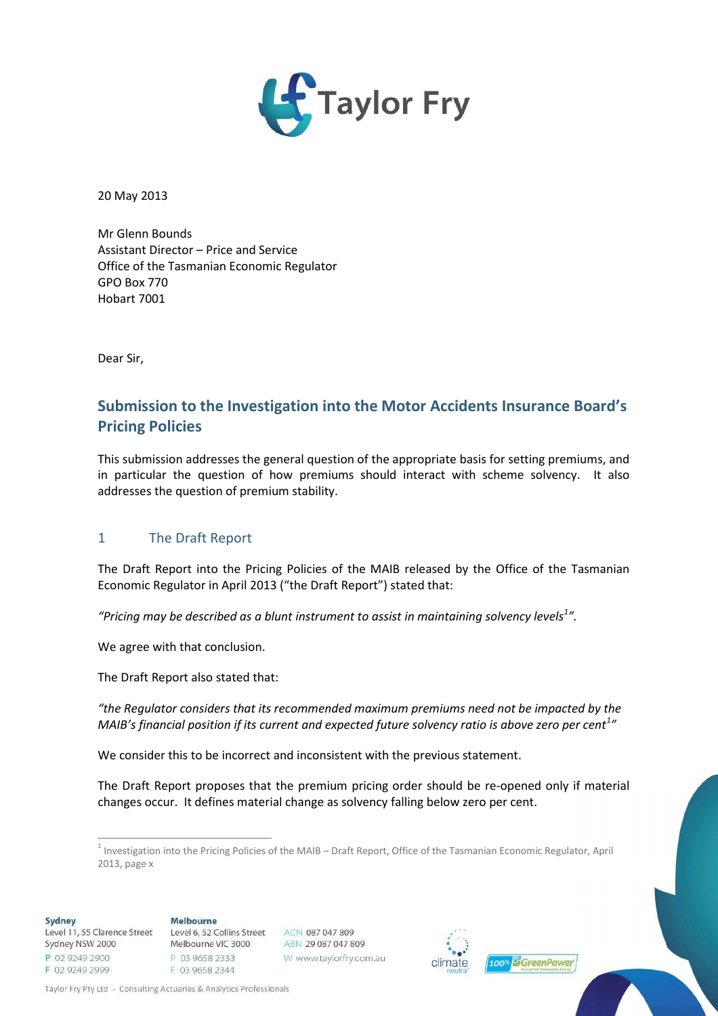

20 May 2013

Mr Glenn Bounds Assistant Director – Price and Service Office of the Tasmanian Economic Regulator GPO Box 770 Hobart 7001

Dear Sir,

# **Submission to the Investigation into the Motor Accidents Insurance Board's Pricing Policies**

This submission addresses the general question of the appropriate basis for setting premiums, and in particular the question of how premiums should interact with scheme solvency. It also addresses the question of premium stability.

#### 1 The Draft Report

The Draft Report into the Pricing Policies of the MAIB released by the Office of the Tasmanian Economic Regulator in April 2013 ("the Draft Report") stated that:

*"Pricing may be described as a blunt instrument to assist in maintaining solvency levels<sup>1</sup> ["](#page-0-0).*

We agree with that conclusion.

The Draft Report also stated that:

*"the Regulator considers that its recommended maximum premiums need not be impacted by the MAIB's financial position if its current and expected future solvency ratio is above zero per cent<sup>1</sup> "*

We consider this to be incorrect and inconsistent with the previous statement.

The Draft Report proposes that the premium pricing order should be re-opened only if material changes occur. It defines material change as solvency falling below zero per cent.

**Sydney** 

#### Melbourne

Level 11, 55 Clarence Street Sydney NSW 2000 P 02 9249 2900 F 02 9249 2999

Level 6, 52 Collins Street Melbourne VIC 3000 P 03 9658 2333 F 03 9658 2344





Taylor Fry Pty Ltd - Consulting Actuaries & Analytics Professionals

<span id="page-0-0"></span><sup>&</sup>lt;sup>1</sup> Investigation into the Pricing Policies of the MAIB – Draft Report, Office of the Tasmanian Economic Regulator, April 2013, page x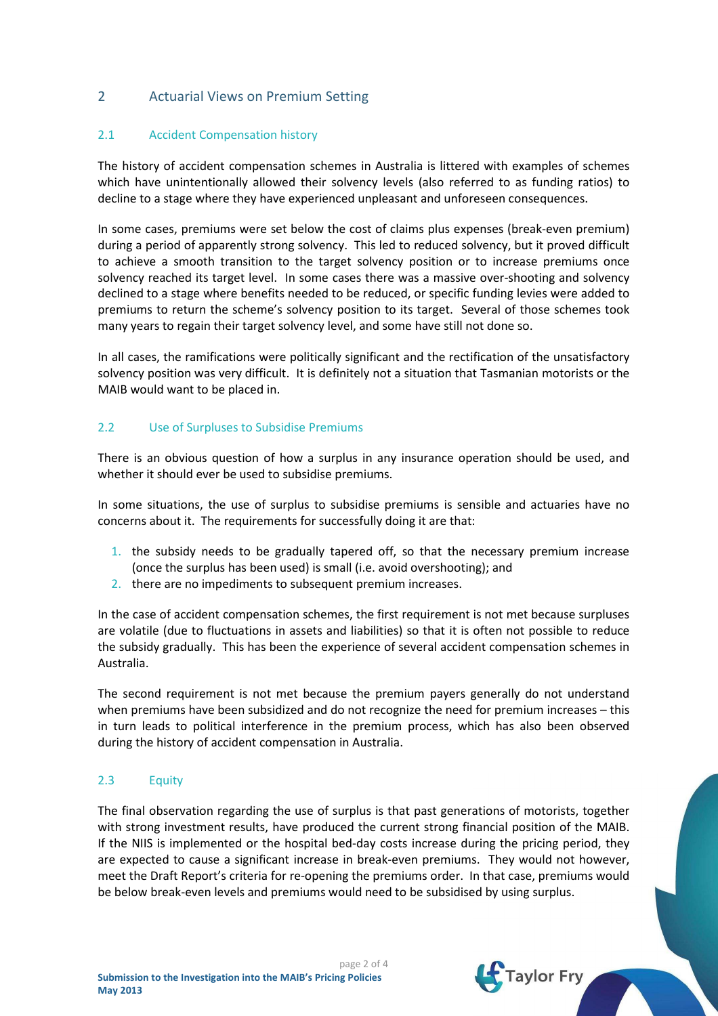## 2 Actuarial Views on Premium Setting

### 2.1 Accident Compensation history

The history of accident compensation schemes in Australia is littered with examples of schemes which have unintentionally allowed their solvency levels (also referred to as funding ratios) to decline to a stage where they have experienced unpleasant and unforeseen consequences.

In some cases, premiums were set below the cost of claims plus expenses (break-even premium) during a period of apparently strong solvency. This led to reduced solvency, but it proved difficult to achieve a smooth transition to the target solvency position or to increase premiums once solvency reached its target level. In some cases there was a massive over-shooting and solvency declined to a stage where benefits needed to be reduced, or specific funding levies were added to premiums to return the scheme's solvency position to its target. Several of those schemes took many years to regain their target solvency level, and some have still not done so.

In all cases, the ramifications were politically significant and the rectification of the unsatisfactory solvency position was very difficult. It is definitely not a situation that Tasmanian motorists or the MAIB would want to be placed in.

#### 2.2 Use of Surpluses to Subsidise Premiums

There is an obvious question of how a surplus in any insurance operation should be used, and whether it should ever be used to subsidise premiums.

In some situations, the use of surplus to subsidise premiums is sensible and actuaries have no concerns about it. The requirements for successfully doing it are that:

- 1. the subsidy needs to be gradually tapered off, so that the necessary premium increase (once the surplus has been used) is small (i.e. avoid overshooting); and
- 2. there are no impediments to subsequent premium increases.

In the case of accident compensation schemes, the first requirement is not met because surpluses are volatile (due to fluctuations in assets and liabilities) so that it is often not possible to reduce the subsidy gradually. This has been the experience of several accident compensation schemes in Australia.

The second requirement is not met because the premium payers generally do not understand when premiums have been subsidized and do not recognize the need for premium increases – this in turn leads to political interference in the premium process, which has also been observed during the history of accident compensation in Australia.

#### 2.3 Equity

The final observation regarding the use of surplus is that past generations of motorists, together with strong investment results, have produced the current strong financial position of the MAIB. If the NIIS is implemented or the hospital bed-day costs increase during the pricing period, they are expected to cause a significant increase in break-even premiums. They would not however, meet the Draft Report's criteria for re-opening the premiums order. In that case, premiums would be below break-even levels and premiums would need to be subsidised by using surplus.

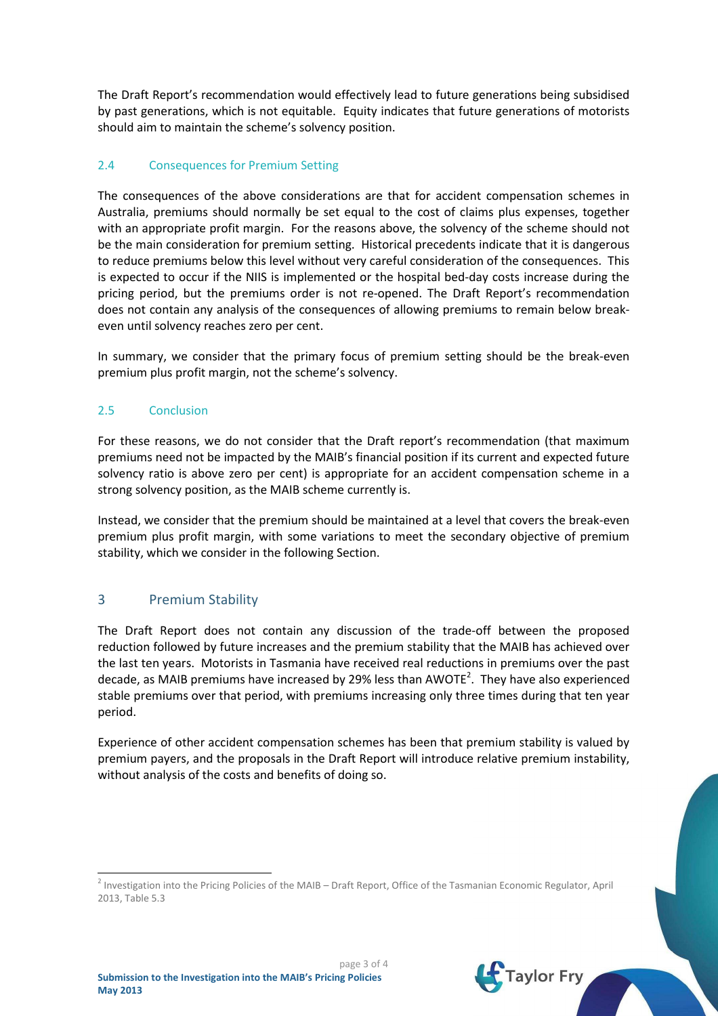The Draft Report's recommendation would effectively lead to future generations being subsidised by past generations, which is not equitable. Equity indicates that future generations of motorists should aim to maintain the scheme's solvency position.

## 2.4 Consequences for Premium Setting

The consequences of the above considerations are that for accident compensation schemes in Australia, premiums should normally be set equal to the cost of claims plus expenses, together with an appropriate profit margin. For the reasons above, the solvency of the scheme should not be the main consideration for premium setting. Historical precedents indicate that it is dangerous to reduce premiums below this level without very careful consideration of the consequences. This is expected to occur if the NIIS is implemented or the hospital bed-day costs increase during the pricing period, but the premiums order is not re-opened. The Draft Report's recommendation does not contain any analysis of the consequences of allowing premiums to remain below breakeven until solvency reaches zero per cent.

In summary, we consider that the primary focus of premium setting should be the break-even premium plus profit margin, not the scheme's solvency.

#### 2.5 Conclusion

For these reasons, we do not consider that the Draft report's recommendation (that maximum premiums need not be impacted by the MAIB's financial position if its current and expected future solvency ratio is above zero per cent) is appropriate for an accident compensation scheme in a strong solvency position, as the MAIB scheme currently is.

Instead, we consider that the premium should be maintained at a level that covers the break-even premium plus profit margin, with some variations to meet the secondary objective of premium stability, which we consider in the following Section.

#### 3 Premium Stability

The Draft Report does not contain any discussion of the trade-off between the proposed reduction followed by future increases and the premium stability that the MAIB has achieved over the last ten years. Motorists in Tasmania have received real reductions in premiums over the past decade, as MAIB premiums have increased by [2](#page-2-0)9% less than AWOTE<sup>2</sup>. They have also experienced stable premiums over that period, with premiums increasing only three times during that ten year period.

Experience of other accident compensation schemes has been that premium stability is valued by premium payers, and the proposals in the Draft Report will introduce relative premium instability, without analysis of the costs and benefits of doing so.



<span id="page-2-0"></span><sup>&</sup>lt;sup>2</sup> Investigation into the Pricing Policies of the MAIB – Draft Report, Office of the Tasmanian Economic Regulator, April 2013, Table 5.3